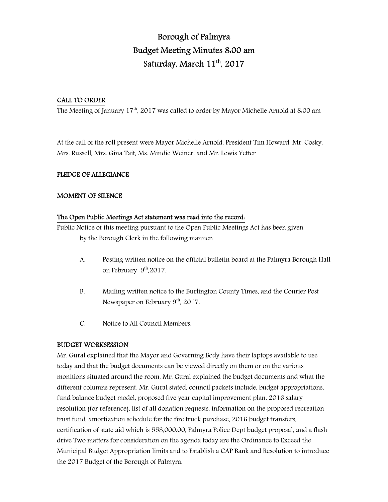# Borough of Palmyra Budget Meeting Minutes 8:00 am Saturday, March 11<sup>th</sup>, 2017

# CALL TO ORDER

The Meeting of January  $17<sup>th</sup>$ , 2017 was called to order by Mayor Michelle Arnold at 8:00 am

At the call of the roll present were Mayor Michelle Arnold, President Tim Howard, Mr. Cosky, Mrs. Russell, Mrs. Gina Tait, Ms. Mindie Weiner, and Mr. Lewis Yetter

# PLEDGE OF ALLEGIANCE

# MOMENT OF SILENCE

# The Open Public Meetings Act statement was read into the record:

Public Notice of this meeting pursuant to the Open Public Meetings Act has been given by the Borough Clerk in the following manner:

- A. Posting written notice on the official bulletin board at the Palmyra Borough Hall on February 9<sup>th</sup>,2017.
- B. Mailing written notice to the Burlington County Times, and the Courier Post Newspaper on February 9<sup>th</sup>, 2017.
- C. Notice to All Council Members.

# BUDGET WORKSESSION

Mr. Gural explained that the Mayor and Governing Body have their laptops available to use today and that the budget documents can be viewed directly on them or on the various monitions situated around the room. Mr. Gural explained the budget documents and what the different columns represent. Mr. Gural stated, council packets include, budget appropriations, fund balance budget model, proposed five year capital improvement plan, 2016 salary resolution (for reference), list of all donation requests, information on the proposed recreation trust fund, amortization schedule for the fire truck purchase, 2016 budget transfers, certification of state aid which is 558,000.00, Palmyra Police Dept budget proposal, and a flash drive Two matters for consideration on the agenda today are the Ordinance to Exceed the Municipal Budget Appropriation limits and to Establish a CAP Bank and Resolution to introduce the 2017 Budget of the Borough of Palmyra.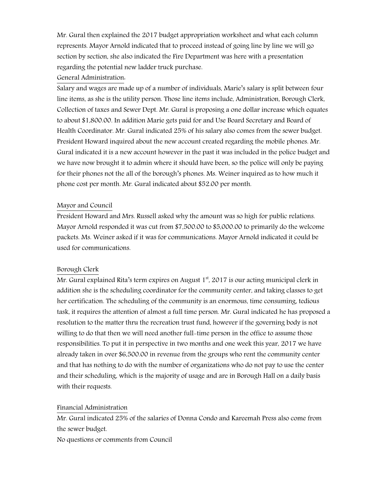Mr. Gural then explained the 2017 budget appropriation worksheet and what each column represents. Mayor Arnold indicated that to proceed instead of going line by line we will go section by section, she also indicated the Fire Department was here with a presentation regarding the potential new ladder truck purchase.

# General Administration:

Salary and wages are made up of a number of individuals, Marie's salary is split between four line items, as she is the utility person. Those line items include, Administration, Borough Clerk, Collection of taxes and Sewer Dept. Mr. Gural is proposing a one dollar increase which equates to about \$1,800.00. In addition Marie gets paid for and Use Board Secretary and Board of Health Coordinator. Mr. Gural indicated 25% of his salary also comes from the sewer budget. President Howard inquired about the new account created regarding the mobile phones. Mr. Gural indicated it is a new account however in the past it was included in the police budget and we have now brought it to admin where it should have been, so the police will only be paying for their phones not the all of the borough's phones. Ms. Weiner inquired as to how much it phone cost per month. Mr. Gural indicated about \$52.00 per month.

# Mayor and Council

President Howard and Mrs. Russell asked why the amount was so high for public relations. Mayor Arnold responded it was cut from \$7,500.00 to \$5,000.00 to primarily do the welcome packets. Ms. Weiner asked if it was for communications. Mayor Arnold indicated it could be used for communications.

# Borough Clerk

Mr. Gural explained Rita's term expires on August  $1<sup>st</sup>$ , 2017 is our acting municipal clerk in addition she is the scheduling coordinator for the community center, and taking classes to get her certification. The scheduling of the community is an enormous, time consuming, tedious task, it requires the attention of almost a full time person. Mr. Gural indicated he has proposed a resolution to the matter thru the recreation trust fund, however if the governing body is not willing to do that then we will need another full-time person in the office to assume those responsibilities. To put it in perspective in two months and one week this year, 2017 we have already taken in over \$6,500.00 in revenue from the groups who rent the community center and that has nothing to do with the number of organizations who do not pay to use the center and their scheduling, which is the majority of usage and are in Borough Hall on a daily basis with their requests.

# Financial Administration

Mr. Gural indicated 25% of the salaries of Donna Condo and Kareemah Press also come from the sewer budget.

No questions or comments from Council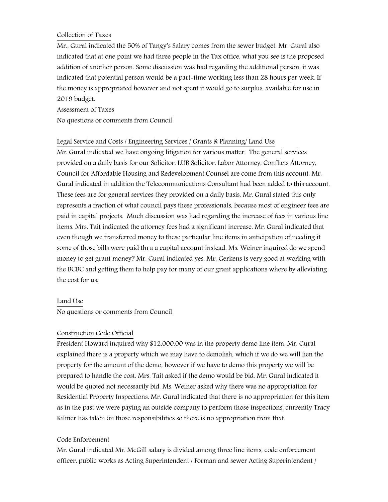# Collection of Taxes

Mr., Gural indicated the 50% of Tangy's Salary comes from the sewer budget. Mr. Gural also indicated that at one point we had three people in the Tax office, what you see is the proposed addition of another person. Some discussion was had regarding the additional person, it was indicated that potential person would be a part-time working less than 28 hours per week. If the money is appropriated however and not spent it would go to surplus, available for use in 2019 budget.

# Assessment of Taxes

No questions or comments from Council

# Legal Service and Costs / Engineering Services / Grants & Planning/ Land Use

Mr. Gural indicated we have ongoing litigation for various matter. The general services provided on a daily basis for our Solicitor, LUB Solicitor, Labor Attorney, Conflicts Attorney, Council for Affordable Housing and Redevelopment Counsel are come from this account. Mr. Gural indicated in addition the Telecommunications Consultant had been added to this account. These fees are for general services they provided on a daily basis. Mr. Gural stated this only represents a fraction of what council pays these professionals, because most of engineer fees are paid in capital projects. Much discussion was had regarding the increase of fees in various line items. Mrs. Tait indicated the attorney fees had a significant increase. Mr. Gural indicated that even though we transferred money to these particular line items in anticipation of needing it some of those bills were paid thru a capital account instead. Ms. Weiner inquired do we spend money to get grant money? Mr. Gural indicated yes. Mr. Gerkens is very good at working with the BCBC and getting them to help pay for many of our grant applications where by alleviating the cost for us.

# Land Use

No questions or comments from Council

# Construction Code Official

President Howard inquired why \$12,000.00 was in the property demo line item. Mr. Gural explained there is a property which we may have to demolish, which if we do we will lien the property for the amount of the demo, however if we have to demo this property we will be prepared to handle the cost. Mrs. Tait asked if the demo would be bid. Mr. Gural indicated it would be quoted not necessarily bid. Ms. Weiner asked why there was no appropriation for Residential Property Inspections. Mr. Gural indicated that there is no appropriation for this item as in the past we were paying an outside company to perform those inspections, currently Tracy Kilmer has taken on those responsibilities so there is no appropriation from that.

# Code Enforcement

Mr. Gural indicated Mr. McGill salary is divided among three line items, code enforcement officer, public works as Acting Superintendent / Forman and sewer Acting Superintendent /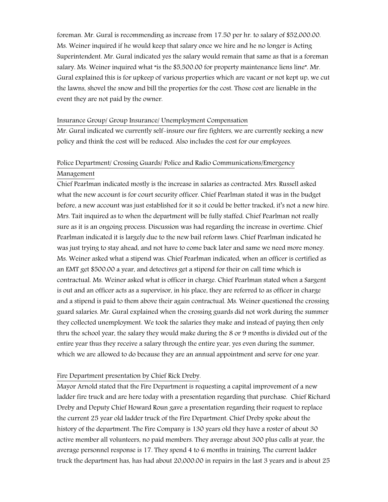foreman. Mr. Gural is recommending as increase from 17.50 per hr. to salary of \$52,000.00. Ms. Weiner inquired if he would keep that salary once we hire and he no longer is Acting Superintendent. Mr. Gural indicated yes the salary would remain that same as that is a foreman salary. Ms. Weiner inquired what "is the \$5,500.00 for property maintenance liens line". Mr. Gural explained this is for upkeep of various properties which are vacant or not kept up, we cut the lawns, shovel the snow and bill the properties for the cost. Those cost are lienable in the event they are not paid by the owner.

#### Insurance Group/ Group Insurance/ Unemployment Compensation

Mr. Gural indicated we currently self-insure our fire fighters, we are currently seeking a new policy and think the cost will be reduced. Also includes the cost for our employees.

# Police Department/ Crossing Guards/ Police and Radio Communications/Emergency Management

Chief Pearlman indicated mostly is the increase in salaries as contracted. Mrs. Russell asked what the new account is for court security officer. Chief Pearlman stated it was in the budget before, a new account was just established for it so it could be better tracked, it's not a new hire. Mrs. Tait inquired as to when the department will be fully staffed. Chief Pearlman not really sure as it is an ongoing process. Discussion was had regarding the increase in overtime. Chief Pearlman indicated it is largely due to the new bail reform laws. Chief Pearlman indicated he was just trying to stay ahead, and not have to come back later and same we need more money. Ms. Weiner asked what a stipend was. Chief Pearlman indicated, when an officer is certified as an EMT get \$500.00 a year, and detectives get a stipend for their on call time which is contractual. Ms. Weiner asked what is officer in charge. Chief Pearlman stated when a Sargent is out and an officer acts as a supervisor, in his place, they are referred to as officer in charge and a stipend is paid to them above their again contractual. Ms. Weiner questioned the crossing guard salaries. Mr. Gural explained when the crossing guards did not work during the summer they collected unemployment. We took the salaries they make and instead of paying then only thru the school year, the salary they would make during the 8 or 9 months is divided out of the entire year thus they receive a salary through the entire year, yes even during the summer, which we are allowed to do because they are an annual appointment and serve for one year.

#### Fire Department presentation by Chief Rick Dreby.

Mayor Arnold stated that the Fire Department is requesting a capital improvement of a new ladder fire truck and are here today with a presentation regarding that purchase. Chief Richard Dreby and Deputy Chief Howard Roun gave a presentation regarding their request to replace the current 25 year old ladder truck of the Fire Department. Chief Dreby spoke about the history of the department. The Fire Company is 130 years old they have a roster of about 30 active member all volunteers, no paid members. They average about 300 plus calls at year, the average personnel response is 17. They spend 4 to 6 months in training. The current ladder truck the department has, has had about 20,000.00 in repairs in the last 3 years and is about 25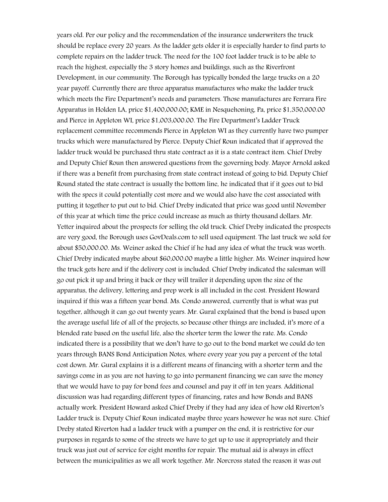years old. Per our policy and the recommendation of the insurance underwriters the truck should be replace every 20 years. As the ladder gets older it is especially harder to find parts to complete repairs on the ladder truck. The need for the 100 foot ladder truck is to be able to reach the highest, especially the 3 story homes and buildings, such as the Riverfront Development, in our community. The Borough has typically bonded the large trucks on a 20 year payoff. Currently there are three apparatus manufactures who make the ladder truck which meets the Fire Department's needs and parameters. Those manufactures are Ferrara Fire Apparatus in Holden LA, price \$1,400,000.00; KME in Nesquehoning, Pa, price \$1,350,000.00 and Pierce in Appleton WI, price \$1,003,000.00. The Fire Department's Ladder Truck replacement committee recommends Pierce in Appleton WI as they currently have two pumper trucks which were manufactured by Pierce. Deputy Chief Roun indicated that if approved the ladder truck would be purchased thru state contract as it is a state contract item. Chief Dreby and Deputy Chief Roun then answered questions from the governing body. Mayor Arnold asked if there was a benefit from purchasing from state contract instead of going to bid. Deputy Chief Round stated the state contract is usually the bottom line, he indicated that if it goes out to bid with the specs it could potentially cost more and we would also have the cost associated with putting it together to put out to bid. Chief Dreby indicated that price was good until November of this year at which time the price could increase as much as thirty thousand dollars. Mr. Yetter inquired about the prospects for selling the old truck. Chief Dreby indicated the prospects are very good, the Borough uses GovDeals.com to sell used equipment. The last truck we sold for about \$50,000.00. Ms. Weiner asked the Chief if he had any idea of what the truck was worth. Chief Dreby indicated maybe about \$60,000.00 maybe a little higher. Ms. Weiner inquired how the truck gets here and if the delivery cost is included. Chief Dreby indicated the salesman will go out pick it up and bring it back or they will trailer it depending upon the size of the apparatus, the delivery, lettering and prep work is all included in the cost. President Howard inquired if this was a fifteen year bond. Ms. Condo answered, currently that is what was put together, although it can go out twenty years. Mr. Gural explained that the bond is based upon the average useful life of all of the projects, so because other things are included, it's more of a blended rate based on the useful life, also the shorter term the lower the rate. Ms. Condo indicated there is a possibility that we don't have to go out to the bond market we could do ten years through BANS Bond Anticipation Notes, where every year you pay a percent of the total cost down. Mr. Gural explains it is a different means of financing with a shorter term and the savings come in as you are not having to go into permanent financing we can save the money that we would have to pay for bond fees and counsel and pay it off in ten years. Additional discussion was had regarding different types of financing, rates and how Bonds and BANS actually work. President Howard asked Chief Dreby if they had any idea of how old Riverton's Ladder truck is. Deputy Chief Roun indicated maybe three years however he was not sure. Chief Dreby stated Riverton had a ladder truck with a pumper on the end, it is restrictive for our purposes in regards to some of the streets we have to get up to use it appropriately and their truck was just out of service for eight months for repair. The mutual aid is always in effect between the municipalities as we all work together. Mr. Norcross stated the reason it was out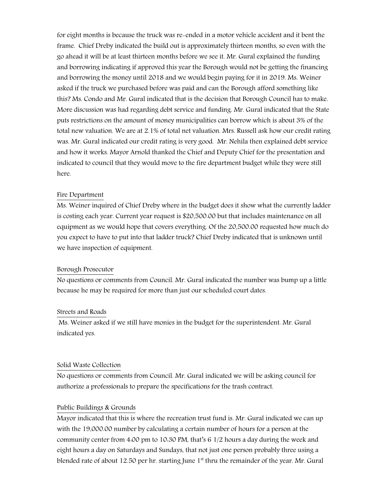for eight months is because the truck was re-ended in a motor vehicle accident and it bent the frame. Chief Dreby indicated the build out is approximately thirteen months, so even with the go ahead it will be at least thirteen months before we see it. Mr. Gural explained the funding and borrowing indicating if approved this year the Borough would not be getting the financing and borrowing the money until 2018 and we would begin paying for it in 2019. Ms. Weiner asked if the truck we purchased before was paid and can the Borough afford something like this? Ms. Condo and Mr. Gural indicated that is the decision that Borough Council has to make. More discussion was had regarding debt service and funding. Mr. Gural indicated that the State puts restrictions on the amount of money municipalities can borrow which is about 3% of the total new valuation. We are at 2.1% of total net valuation. Mrs. Russell ask how our credit rating was. Mr. Gural indicated our credit rating is very good. Mr. Nehila then explained debt service and how it works. Mayor Arnold thanked the Chief and Deputy Chief for the presentation and indicated to council that they would move to the fire department budget while they were still here.

#### Fire Department

Ms. Weiner inquired of Chief Dreby where in the budget does it show what the currently ladder is costing each year. Current year request is \$20,500.00 but that includes maintenance on all equipment as we would hope that covers everything. Of the 20,500.00 requested how much do you expect to have to put into that ladder truck? Chief Dreby indicated that is unknown until we have inspection of equipment.

#### Borough Prosecutor

No questions or comments from Council. Mr. Gural indicated the number was bump up a little because he may be required for more than just our scheduled court dates.

#### Streets and Roads

 Ms. Weiner asked if we still have monies in the budget for the superintendent. Mr. Gural indicated yes.

#### Solid Waste Collection

No questions or comments from Council. Mr. Gural indicated we will be asking council for authorize a professionals to prepare the specifications for the trash contract.

#### Public Buildings & Grounds

Mayor indicated that this is where the recreation trust fund is. Mr. Gural indicated we can up with the 19,000.00 number by calculating a certain number of hours for a person at the community center from 4:00 pm to 10:30 PM, that's 6 1/2 hours a day during the week and eight hours a day on Saturdays and Sundays, that not just one person probably three using a blended rate of about 12.50 per hr. starting June  $1<sup>st</sup>$  thru the remainder of the year. Mr. Gural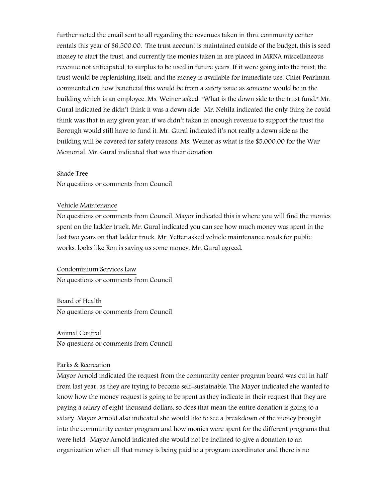further noted the email sent to all regarding the revenues taken in thru community center rentals this year of \$6,500.00. The trust account is maintained outside of the budget, this is seed money to start the trust, and currently the monies taken in are placed in MRNA miscellaneous revenue not anticipated, to surplus to be used in future years. If it were going into the trust, the trust would be replenishing itself, and the money is available for immediate use. Chief Pearlman commented on how beneficial this would be from a safety issue as someone would be in the building which is an employee. Ms. Weiner asked, "What is the down side to the trust fund." Mr. Gural indicated he didn't think it was a down side. Mr. Nehila indicated the only thing he could think was that in any given year, if we didn't taken in enough revenue to support the trust the Borough would still have to fund it. Mr. Gural indicated it's not really a down side as the building will be covered for safety reasons. Ms. Weiner as what is the \$5,000.00 for the War Memorial. Mr. Gural indicated that was their donation

# Shade Tree

No questions or comments from Council

#### Vehicle Maintenance

No questions or comments from Council. Mayor indicated this is where you will find the monies spent on the ladder truck. Mr. Gural indicated you can see how much money was spent in the last two years on that ladder truck. Mr. Yetter asked vehicle maintenance roads for public works, looks like Ron is saving us some money. Mr. Gural agreed.

Condominium Services Law No questions or comments from Council

Board of Health No questions or comments from Council

Animal Control No questions or comments from Council

# Parks & Recreation

Mayor Arnold indicated the request from the community center program board was cut in half from last year, as they are trying to become self-sustainable. The Mayor indicated she wanted to know how the money request is going to be spent as they indicate in their request that they are paying a salary of eight thousand dollars, so does that mean the entire donation is going to a salary. Mayor Arnold also indicated she would like to see a breakdown of the money brought into the community center program and how monies were spent for the different programs that were held. Mayor Arnold indicated she would not be inclined to give a donation to an organization when all that money is being paid to a program coordinator and there is no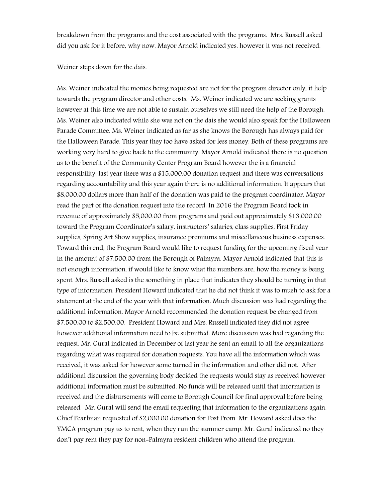breakdown from the programs and the cost associated with the programs. Mrs. Russell asked did you ask for it before, why now. Mayor Arnold indicated yes, however it was not received.

Weiner steps down for the dais.

Ms. Weiner indicated the monies being requested are not for the program director only, it help towards the program director and other costs. Ms. Weiner indicated we are seeking grants however at this time we are not able to sustain ourselves we still need the help of the Borough. Ms. Weiner also indicated while she was not on the dais she would also speak for the Halloween Parade Committee. Ms. Weiner indicated as far as she knows the Borough has always paid for the Halloween Parade. This year they too have asked for less money. Both of these programs are working very hard to give back to the community. Mayor Arnold indicated there is no question as to the benefit of the Community Center Program Board however the is a financial responsibility, last year there was a \$15,000.00 donation request and there was conversations regarding accountability and this year again there is no additional information. It appears that \$8,000.00 dollars more than half of the donation was paid to the program coordinator. Mayor read the part of the donation request into the record: In 2016 the Program Board took in revenue of approximately \$5,000.00 from programs and paid out approximately \$13,000.00 toward the Program Coordinator's salary, instructors' salaries, class supplies, First Friday supplies, Spring Art Show supplies, insurance premiums and miscellaneous business expenses. Toward this end, the Program Board would like to request funding for the upcoming fiscal year in the amount of \$7,500.00 from the Borough of Palmyra. Mayor Arnold indicated that this is not enough information, if would like to know what the numbers are, how the money is being spent. Mrs. Russell asked is the something in place that indicates they should be turning in that type of information. President Howard indicated that he did not think it was to mush to ask for a statement at the end of the year with that information. Much discussion was had regarding the additional information. Mayor Arnold recommended the donation request be changed from \$7,500.00 to \$2,500.00. President Howard and Mrs. Russell indicated they did not agree however additional information need to be submitted. More discussion was had regarding the request. Mr. Gural indicated in December of last year he sent an email to all the organizations regarding what was required for donation requests. You have all the information which was received, it was asked for however some turned in the information and other did not. After additional discussion the governing body decided the requests would stay as received however additional information must be submitted. No funds will be released until that information is received and the disbursements will come to Borough Council for final approval before being released. Mr. Gural will send the email requesting that information to the organizations again. Chief Pearlman requested of \$2,000.00 donation for Post Prom. Mr. Howard asked does the YMCA program pay us to rent, when they run the summer camp. Mr. Gural indicated no they don't pay rent they pay for non-Palmyra resident children who attend the program.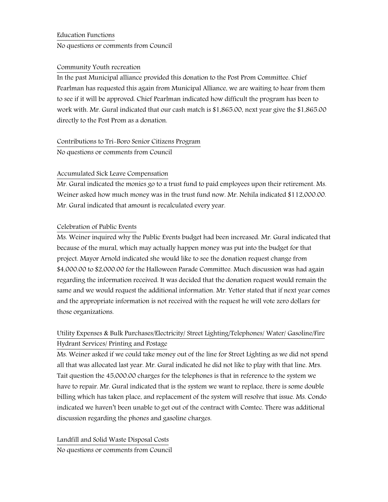# Education Functions

No questions or comments from Council

# Community Youth recreation

In the past Municipal alliance provided this donation to the Post Prom Committee. Chief Pearlman has requested this again from Municipal Alliance, we are waiting to hear from them to see if it will be approved. Chief Pearlman indicated how difficult the program has been to work with. Mr. Gural indicated that our cash match is \$1,865.00, next year give the \$1,865.00 directly to the Post Prom as a donation.

# Contributions to Tri-Boro Senior Citizens Program

No questions or comments from Council

# Accumulated Sick Leave Compensation

Mr. Gural indicated the monies go to a trust fund to paid employees upon their retirement. Ms. Weiner asked how much money was in the trust fund now. Mr. Nehila indicated \$112,000.00. Mr. Gural indicated that amount is recalculated every year.

# Celebration of Public Events

Ms. Weiner inquired why the Public Events budget had been increased. Mr. Gural indicated that because of the mural, which may actually happen money was put into the budget for that project. Mayor Arnold indicated she would like to see the donation request change from \$4,000.00 to \$2,000.00 for the Halloween Parade Committee. Much discussion was had again regarding the information received. It was decided that the donation request would remain the same and we would request the additional information. Mr. Yetter stated that if next year comes and the appropriate information is not received with the request he will vote zero dollars for those organizations.

# Utility Expenses & Bulk Purchases/Electricity/ Street Lighting/Telephones/ Water/ Gasoline/Fire Hydrant Services/ Printing and Postage

Ms. Weiner asked if we could take money out of the line for Street Lighting as we did not spend all that was allocated last year. Mr. Gural indicated he did not like to play with that line. Mrs. Tait question the 45,000.00 charges for the telephones is that in reference to the system we have to repair. Mr. Gural indicated that is the system we want to replace, there is some double billing which has taken place, and replacement of the system will resolve that issue. Ms. Condo indicated we haven't been unable to get out of the contract with Comtec. There was additional discussion regarding the phones and gasoline charges.

Landfill and Solid Waste Disposal Costs No questions or comments from Council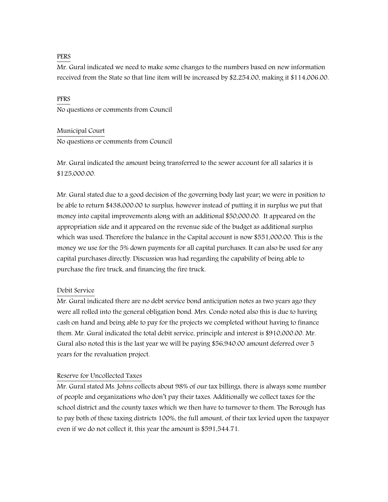#### PERS

Mr. Gural indicated we need to make some changes to the numbers based on new information received from the State so that line item will be increased by \$2,254.00, making it \$114,006.00.

PFRS No questions or comments from Council

Municipal Court No questions or comments from Council

Mr. Gural indicated the amount being transferred to the sewer account for all salaries it is \$125,000.00.

Mr. Gural stated due to a good decision of the governing body last year; we were in position to be able to return \$438,000.00 to surplus, however instead of putting it in surplus we put that money into capital improvements along with an additional \$50,000.00. It appeared on the appropriation side and it appeared on the revenue side of the budget as additional surplus which was used. Therefore the balance in the Capital account is now \$551,000.00. This is the money we use for the 5% down payments for all capital purchases. It can also be used for any capital purchases directly. Discussion was had regarding the capability of being able to purchase the fire truck, and financing the fire truck.

# Debit Service

Mr. Gural indicated there are no debt service bond anticipation notes as two years ago they were all rolled into the general obligation bond. Mrs. Condo noted also this is due to having cash on hand and being able to pay for the projects we completed without having to finance them. Mr. Gural indicated the total debit service, principle and interest is \$910,000.00. Mr. Gural also noted this is the last year we will be paying \$56,940.00 amount deferred over 5 years for the revaluation project.

# Reserve for Uncollected Taxes

Mr. Gural stated Ms. Johns collects about 98% of our tax billings, there is always some number of people and organizations who don't pay their taxes. Additionally we collect taxes for the school district and the county taxes which we then have to turnover to them. The Borough has to pay both of these taxing districts 100%, the full amount, of their tax levied upon the taxpayer even if we do not collect it, this year the amount is \$591,544.71.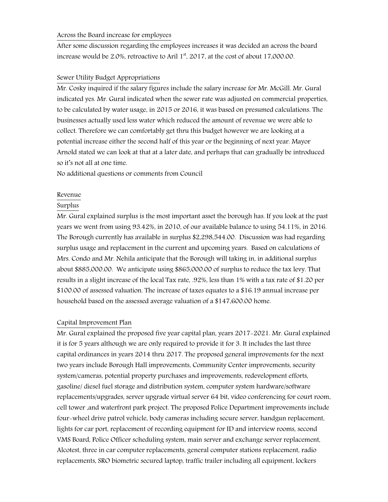#### Across the Board increase for employees

After some discussion regarding the employees increases it was decided an across the board increase would be 2.0%, retroactive to Aril  $1<sup>st</sup>$ , 2017, at the cost of about 17,000.00.

# Sewer Utility Budget Appropriations

Mr. Cosky inquired if the salary figures include the salary increase for Mr. McGill. Mr. Gural indicated yes. Mr. Gural indicated when the sewer rate was adjusted on commercial properties, to be calculated by water usage, in 2015 or 2016, it was based on presumed calculations. The businesses actually used less water which reduced the amount of revenue we were able to collect. Therefore we can comfortably get thru this budget however we are looking at a potential increase either the second half of this year or the beginning of next year. Mayor Arnold stated we can look at that at a later date, and perhaps that can gradually be introduced so it's not all at one time.

No additional questions or comments from Council

# Revenue

# Surplus

Mr. Gural explained surplus is the most important asset the borough has. If you look at the past years we went from using 93.42%, in 2010, of our available balance to using 54.11%, in 2016. The Borough currently has available in surplus \$2,298,544.00. Discussion was had regarding surplus usage and replacement in the current and upcoming years. Based on calculations of Mrs. Condo and Mr. Nehila anticipate that the Borough will taking in, in additional surplus about \$885,000.00. We anticipate using \$865,000.00 of surplus to reduce the tax levy. That results in a slight increase of the local Tax rate, .92%, less than 1% with a tax rate of \$1.20 per \$100.00 of assessed valuation. The increase of taxes equates to a \$16.19 annual increase per household based on the assessed average valuation of a \$147,600.00 home.

# Capital Improvement Plan

Mr. Gural explained the proposed five year capital plan, years 2017-2021. Mr. Gural explained it is for 5 years although we are only required to provide it for 3. It includes the last three capital ordinances in years 2014 thru 2017. The proposed general improvements for the next two years include Borough Hall improvements, Community Center improvements, security system/cameras, potential property purchases and improvements, redevelopment efforts, gasoline/ diesel fuel storage and distribution system, computer system hardware/software replacements/upgrades, server upgrade virtual server 64 bit, video conferencing for court room, cell tower ,and waterfront park project. The proposed Police Department improvements include four-wheel drive patrol vehicle, body cameras including secure server, handgun replacement, lights for car port, replacement of recording equipment for ID and interview rooms, second VMS Board, Police Officer scheduling system, main server and exchange server replacement, Alcotest, three in car computer replacements, general computer stations replacement, radio replacements, SRO biometric secured laptop, traffic trailer including all equipment, lockers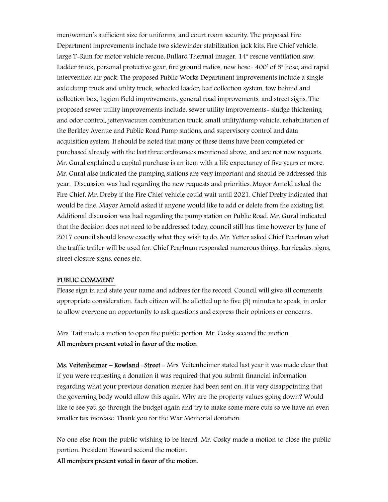men/women's sufficient size for uniforms, and court room security. The proposed Fire Department improvements include two sidewinder stabilization jack kits, Fire Chief vehicle, large T-Ram for motor vehicle rescue, Bullard Thermal imager, 14" rescue ventilation saw, Ladder truck, personal protective gear, fire ground radios, new hose- 400' of 5" hose, and rapid intervention air pack. The proposed Public Works Department improvements include a single axle dump truck and utility truck, wheeled loader, leaf collection system, tow behind and collection box, Legion Field improvements, general road improvements, and street signs. The proposed sewer utility improvements include, sewer utility improvements- sludge thickening and odor control, jetter/vacuum combination truck, small utility/dump vehicle, rehabilitation of the Berkley Avenue and Public Road Pump stations, and supervisory control and data acquisition system. It should be noted that many of these items have been completed or purchased already with the last three ordinances mentioned above, and are not new requests. Mr. Gural explained a capital purchase is an item with a life expectancy of five years or more. Mr. Gural also indicated the pumping stations are very important and should be addressed this year. Discussion was had regarding the new requests and priorities. Mayor Arnold asked the Fire Chief, Mr. Dreby if the Fire Chief vehicle could wait until 2021. Chief Dreby indicated that would be fine. Mayor Arnold asked if anyone would like to add or delete from the existing list. Additional discussion was had regarding the pump station on Public Road. Mr. Gural indicated that the decision does not need to be addressed today, council still has time however by June of 2017 council should know exactly what they wish to do. Mr. Yetter asked Chief Pearlman what the traffic trailer will be used for. Chief Pearlman responded numerous things, barricades, signs, street closure signs, cones etc.

#### PUBLIC COMMENT

Please sign in and state your name and address for the record. Council will give all comments appropriate consideration. Each citizen will be allotted up to five (5) minutes to speak, in order to allow everyone an opportunity to ask questions and express their opinions or concerns.

Mrs. Tait made a motion to open the public portion. Mr. Cosky second the motion. All members present voted in favor of the motion

Ms. Veitenheimer – Rowland – Street – Mrs. Veitenheimer stated last year it was made clear that if you were requesting a donation it was required that you submit financial information regarding what your previous donation monies had been sent on, it is very disappointing that the governing body would allow this again. Why are the property values going down? Would like to see you go through the budget again and try to make some more cuts so we have an even smaller tax increase. Thank you for the War Memorial donation.

No one else from the public wishing to be heard, Mr. Cosky made a motion to close the public portion. President Howard second the motion.

All members present voted in favor of the motion.